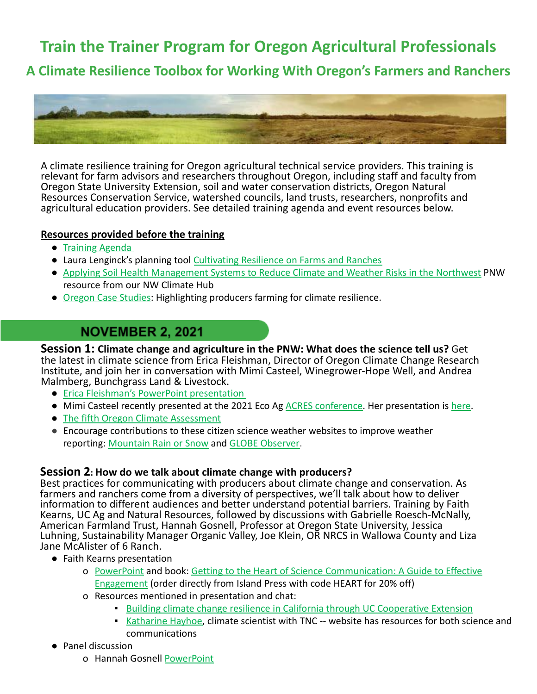**Train the Trainer Program for Oregon Agricultural Professionals**

**A Climate Resilience Toolbox for Working With Oregon's Farmers and Ranchers**



A climate resilience training for Oregon agricultural technical service providers. This training is relevant for farm advisors and researchers throughout Oregon, including staff and faculty from Oregon State University Extension, soil and water conservation districts, Oregon Natural Resources Conservation Service, watershed councils, land trusts, researchers, nonprofits and agricultural education providers. See detailed training agenda and event resources below.

### **Resources provided before the training**

- [Training Agenda](https://www.oregonclimateag.org/_files/ugd/99cdde_5035765ec4dc4d57bd7e15359e71c901.pdf)
- Laura Lenginck's planning tool Cultivating Resilience [on Farms and Ranches](https://www.sare.org/resources/cultivating-climate-resilience-on-farms-and-ranches/)
- [Applying Soil Health Management Systems to Reduce Climate and Weather Risks in the Northwest](https://www.climatehubs.usda.gov/sites/default/files/Mngmt%20Systems%20Reduce%20Risks%20in%20the%20NW.pdf) PNW resource from our NW Climate Hub
- [Oregon Case Studies:](https://drive.google.com/drive/folders/1BTq0OiLdglk30oFqRBvfGA37G_2FzWOj?usp=sharing) Highlighting producers farming for climate resilience.

# **NOVEMBER 2, 2021**

**Session 1: Climate change and agriculture in the PNW: What does the science tell us?** Get the latest in climate science from Erica Fleishman, Director of Oregon Climate Change Research Institute, and join her in conversation with Mimi Casteel, Winegrower-Hope Well, and Andrea Malmberg, Bunchgrass Land & Livestock.

- [Erica Fleishman's PowerPoint presentation](https://docs.google.com/presentation/d/1YiKHBRFej_JppLcArypkwD-cHJfTYJDG/edit?usp=sharing&ouid=101508296061139318340&rtpof=true&sd=true)
- Mimi Casteel recently presented at the 2021 Eco Ag [ACRES conference.](https://ecoag.acresusa.com/) Her presentation is [here.](https://www.hopewellwine.com/no-time-left/)
- [The fifth Oregon Climate Assessment](https://blogs.oregonstate.edu/occri/oregon-climate-assessments/)
- Encourage contributions to these citizen science weather websites to improve weather reporting: [Mountain Rain or Snow](https://rainorsnow.org/home) and [GLOBE Observer.](https://www.globe.gov/globe-data/data-entry/globe-observer)

### **Session 2: How do we talk about climate change with producers?**

Best practices for communicating with producers about climate change and conservation. As farmers and ranchers come from a diversity of perspectives, we'll talk about how to deliver information to different audiences and better understand potential barriers. Training by Faith Kearns, UC Ag and Natural Resources, followed by discussions with Gabrielle Roesch-McNally, American Farmland Trust, Hannah Gosnell, Professor at Oregon State University, Jessica Luhning, Sustainability Manager Organic Valley, Joe Klein, OR NRCS in Wallowa County and Liza Jane McAlister of 6 Ranch.

- Faith Kearns presentation
	- o [PowerPoint](https://drive.google.com/file/d/1q43H8d9ROz-GF28gDhvmBq3tEzYv9phW/view?usp=sharing) and book: Getting to the Heart of Science [Communication: A Guide to Effective](https://islandpress.org/books/getting-heart-science-communication) [Engagement](https://islandpress.org/books/getting-heart-science-communication) (order directly from Island Press with code HEART for 20% off)
	- o Resources mentioned in presentation and chat:
		- **[Building climate change resilience in California through UC Cooperative Extension](https://escholarship.org/content/qt5dt5n3w1/qt5dt5n3w1.pdf)**
		- [Katharine Hayhoe,](http://www.katharinehayhoe.com/faqs/#i-want-more) climate scientist with TNC -- website has resources for both science and communications
- Panel discussion
	- o Hannah Gosnell [PowerPoint](https://drive.google.com/file/d/1NSuqEE73SOuZFdN1BVXC-w5z2bfgMLMF/view?usp=sharing)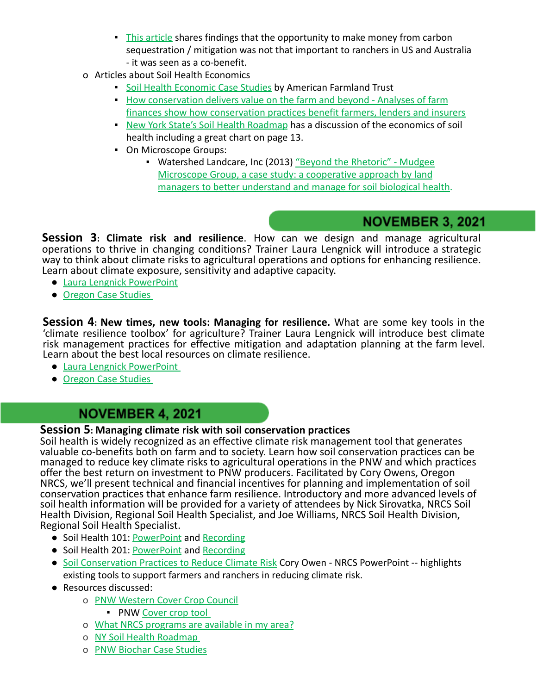- **.** [This article](https://royalsocietypublishing.org/doi/10.1098/rsfs.2020.0027#:~:text=The%20most%20commonly%20mentioned%20benefit,activity%20keeps%20%5Bthe%20ground%5D%20warm) shares findings that the opportunity to make money from carbon sequestration / mitigation was not that important to ranchers in US and Australia - it was seen as a co-benefit.
- o Articles about Soil Health Economics
	- **[Soil Health Economic Case Studies](https://farmlandinfo.org/publications/soil-health-case-studies/) by American Farmland Trust**
	- **.** [How conservation delivers value on the farm and beyond Analyses of farm](http://www.edf.org/ecosystems/how-conservation-delivers-value-farm-and-beyond) [finances show how conservation practices benefit farmers, lenders and insurers](http://www.edf.org/ecosystems/how-conservation-delivers-value-farm-and-beyond)
	- **[New York State's Soil Health Roadmap](http://bit.ly/NYSHroadmap) has a discussion of the economics of soil** health including a great chart on page 13.
	- On Microscope Groups:
		- Watershed Landcare, Inc (2013) ["Beyond the Rhetoric" Mudgee](http://www.csu.edu.au/__data/assets/pdf_file/0010/617590/Mudgee-Microscope-Group-Case-Study.pdf) [Microscope Group, a case study: a cooperative approach by land](http://www.csu.edu.au/__data/assets/pdf_file/0010/617590/Mudgee-Microscope-Group-Case-Study.pdf) [managers to better understand and manage for soil biological health.](http://www.csu.edu.au/__data/assets/pdf_file/0010/617590/Mudgee-Microscope-Group-Case-Study.pdf)

## **NOVEMBER 3, 2021**

**Session 3: Climate risk and resilience**. How can we design and manage agricultural operations to thrive in changing conditions? Trainer Laura Lengnick will introduce a strategic way to think about climate risks to agricultural operations and options for enhancing resilience. Learn about climate exposure, sensitivity and adaptive capacity.

- [Laura Lengnick PowerPoint](https://drive.google.com/file/d/1baLfdHmDzcokayX-YgewHb9Wpdf6o_dZ/view?usp=sharing)
- [Oregon Case Studies](https://drive.google.com/drive/folders/1BTq0OiLdglk30oFqRBvfGA37G_2FzWOj?usp=sharing)

**Session 4: New times, new tools: Managing for resilience.** What are some key tools in the 'climate resilience toolbox' for agriculture? Trainer Laura Lengnick will introduce best climate risk management practices for effective mitigation and adaptation planning at the farm level. Learn about the best local resources on climate resilience.

- [Laura Lengnick PowerPoint](https://drive.google.com/file/d/1JYFke_Zo0W73iQOToUDtsdGNHNGd6ZG2/view?usp=sharing)
- [Oregon Case Studies](https://drive.google.com/drive/folders/1BTq0OiLdglk30oFqRBvfGA37G_2FzWOj?usp=sharing)

## **NOVEMBER 4, 2021**

## **Session 5: Managing climate risk with soil conservation practices**

Soil health is widely recognized as an effective climate risk management tool that generates valuable co-benefits both on farm and to society. Learn how soil conservation practices can be managed to reduce key climate risks to agricultural operations in the PNW and which practices offer the best return on investment to PNW producers. Facilitated by Cory Owens, Oregon NRCS, we'll present technical and financial incentives for planning and implementation of soil conservation practices that enhance farm resilience. Introductory and more advanced levels of soil health information will be provided for a variety of attendees by Nick Sirovatka, NRCS Soil Health Division, Regional Soil Health Specialist, and Joe Williams, NRCS Soil Health Division, Regional Soil Health Specialist.

- Soil Health 101: [PowerPoint](https://drive.google.com/file/d/1g25qTgtUjsmJyUOA0ccBHn9kv608I5Tg/view?usp=sharing) and [Recording](https://youtu.be/cJW23hGum2c)
- Soil Health 201: [PowerPoint](https://docs.google.com/presentation/d/1MCyzz9zifIH6QLrPV2BWxlU60WdTbWlp/edit?usp=sharing&ouid=101508296061139318340&rtpof=true&sd=true) and [Recording](https://youtu.be/wUS7BBHvzXg)
- [Soil Conservation Practices to Reduce Climate Risk](https://docs.google.com/presentation/d/14w60u92uQcHtiw3vjZ9PFQavo04RsRJB/edit?usp=sharing&ouid=101508296061139318340&rtpof=true&sd=true) Cory Owen NRCS PowerPoint -- highlights existing tools to support farmers and ranchers in reducing climate risk.
- Resources discussed:
	- o [PNW Western Cover Crop Council](https://westerncovercrops.org/regions/pnw/)
		- PNW [Cover crop tool](https://westerncovercrops.org/2020/08/11/example-post-2/)
	- o [What NRCS programs are available in my area?](https://www.nrcs.usda.gov/wps/portal/nrcs/detailfull/or/programs/?cid=nrcs142p2_044022)
	- o [NY Soil Health Roadmap](http://bit.ly/NYSHroadmap)
	- o [PNW Biochar Case Studies](http://www.pnwbiochar.org/case-studies/)